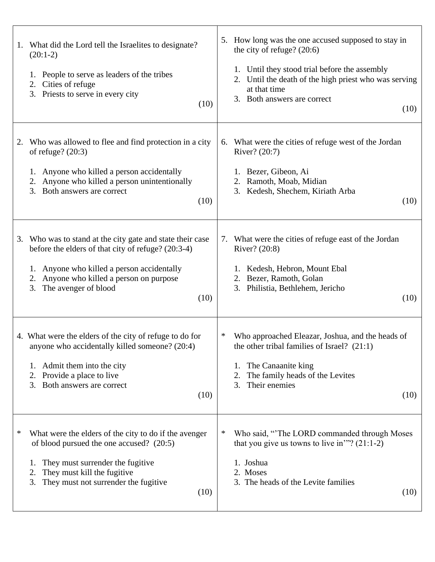| What did the Lord tell the Israelites to designate?<br>1.<br>$(20:1-2)$<br>1. People to serve as leaders of the tribes<br>Cities of refuge<br>2.<br>3. Priests to serve in every city<br>(10)                                                      | 5. How long was the one accused supposed to stay in<br>the city of refuge? $(20:6)$<br>1. Until they stood trial before the assembly<br>2. Until the death of the high priest who was serving<br>at that time<br>3. Both answers are correct<br>(10) |
|----------------------------------------------------------------------------------------------------------------------------------------------------------------------------------------------------------------------------------------------------|------------------------------------------------------------------------------------------------------------------------------------------------------------------------------------------------------------------------------------------------------|
| Who was allowed to flee and find protection in a city<br>2.<br>of refuge? $(20:3)$<br>1. Anyone who killed a person accidentally<br>Anyone who killed a person unintentionally<br>Both answers are correct<br>3.<br>(10)                           | 6. What were the cities of refuge west of the Jordan<br>River? (20:7)<br>1. Bezer, Gibeon, Ai<br>2. Ramoth, Moab, Midian<br>3. Kedesh, Shechem, Kiriath Arba<br>(10)                                                                                 |
| Who was to stand at the city gate and state their case<br>3.<br>before the elders of that city of refuge? (20:3-4)<br>1. Anyone who killed a person accidentally<br>2. Anyone who killed a person on purpose<br>The avenger of blood<br>3.<br>(10) | 7. What were the cities of refuge east of the Jordan<br>River? (20:8)<br>1. Kedesh, Hebron, Mount Ebal<br>2. Bezer, Ramoth, Golan<br>3. Philistia, Bethlehem, Jericho<br>(10)                                                                        |
| 4. What were the elders of the city of refuge to do for<br>anyone who accidentally killed someone? (20:4)<br>Admit them into the city<br>1.<br>Provide a place to live<br>2.<br>Both answers are correct<br>3.<br>(10)                             | Who approached Eleazar, Joshua, and the heads of<br>the other tribal families of Israel? $(21:1)$<br>The Canaanite king<br>1.<br>The family heads of the Levites<br>3. Their enemies<br>(10)                                                         |
| ∗<br>What were the elders of the city to do if the avenger<br>of blood pursued the one accused? (20:5)<br>They must surrender the fugitive<br>1.<br>They must kill the fugitive<br>2.<br>They must not surrender the fugitive<br>3.<br>(10)        | ∗<br>Who said, "The LORD commanded through Moses<br>that you give us towns to live in""? $(21:1-2)$<br>1. Joshua<br>2. Moses<br>3. The heads of the Levite families<br>(10)                                                                          |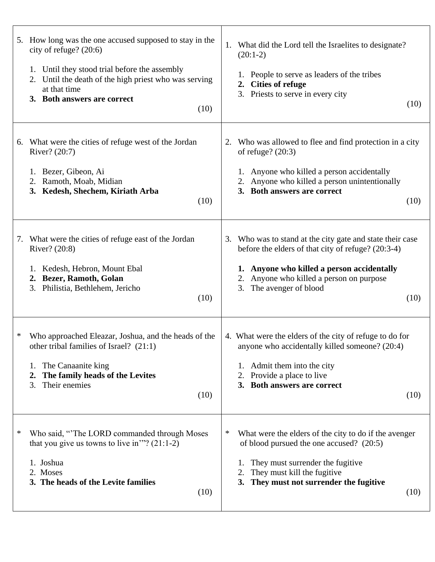| How long was the one accused supposed to stay in the<br>5.<br>city of refuge? $(20:6)$<br>1. Until they stood trial before the assembly<br>2. Until the death of the high priest who was serving<br>at that time<br>3. Both answers are correct<br>(10) | What did the Lord tell the Israelites to designate?<br>1.<br>$(20:1-2)$<br>People to serve as leaders of the tribes<br>2. Cities of refuge<br>3. Priests to serve in every city<br>(10)                                                      |
|---------------------------------------------------------------------------------------------------------------------------------------------------------------------------------------------------------------------------------------------------------|----------------------------------------------------------------------------------------------------------------------------------------------------------------------------------------------------------------------------------------------|
| What were the cities of refuge west of the Jordan<br>6.<br>River? (20:7)<br>Bezer, Gibeon, Ai<br>1.<br>2. Ramoth, Moab, Midian<br>3. Kedesh, Shechem, Kiriath Arba<br>(10)                                                                              | Who was allowed to flee and find protection in a city<br>2.<br>of refuge? $(20:3)$<br>Anyone who killed a person accidentally<br>Anyone who killed a person unintentionally<br>3. Both answers are correct<br>(10)                           |
| 7. What were the cities of refuge east of the Jordan<br>River? (20:8)<br>1. Kedesh, Hebron, Mount Ebal<br>2. Bezer, Ramoth, Golan<br>3. Philistia, Bethlehem, Jericho<br>(10)                                                                           | 3. Who was to stand at the city gate and state their case<br>before the elders of that city of refuge? (20:3-4)<br>1. Anyone who killed a person accidentally<br>2. Anyone who killed a person on purpose<br>3. The avenger of blood<br>(10) |
| Who approached Eleazar, Joshua, and the heads of the<br>∗<br>other tribal families of Israel? $(21:1)$<br>The Canaanite king<br>1.<br>The family heads of the Levites<br>2.<br>Their enemies<br>3.<br>(10)                                              | 4. What were the elders of the city of refuge to do for<br>anyone who accidentally killed someone? (20:4)<br>Admit them into the city<br>1.<br>Provide a place to live<br>2.<br>3. Both answers are correct<br>(10)                          |
| Who said, "The LORD commanded through Moses"<br>∗<br>that you give us towns to live in"? $(21:1-2)$<br>1. Joshua<br>2. Moses<br>3. The heads of the Levite families<br>(10)                                                                             | ∗<br>What were the elders of the city to do if the avenger<br>of blood pursued the one accused? (20:5)<br>They must surrender the fugitive<br>They must kill the fugitive<br>2.<br>They must not surrender the fugitive<br>3.<br>(10)        |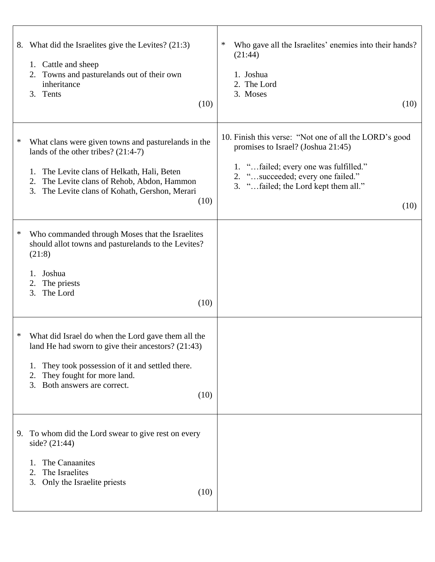| 8.<br>1. Cattle and sheep<br>2.<br>inheritance<br>3.<br>Tents                                     | What did the Israelites give the Levites? (21:3)<br>Towns and pasturelands out of their own<br>(10)                                                                                                | ∗<br>Who gave all the Israelites' enemies into their hands?<br>(21:44)<br>1. Joshua<br>2. The Lord<br>3. Moses<br>(10)                                                                                                     |
|---------------------------------------------------------------------------------------------------|----------------------------------------------------------------------------------------------------------------------------------------------------------------------------------------------------|----------------------------------------------------------------------------------------------------------------------------------------------------------------------------------------------------------------------------|
| ∗<br>lands of the other tribes? (21:4-7)<br>1.<br>2.<br>3.                                        | What clans were given towns and pasturelands in the<br>The Levite clans of Helkath, Hali, Beten<br>The Levite clans of Rehob, Abdon, Hammon<br>The Levite clans of Kohath, Gershon, Merari<br>(10) | 10. Finish this verse: "Not one of all the LORD's good<br>promises to Israel? (Joshua 21:45)<br>1. "failed; every one was fulfilled."<br>2. "succeeded; every one failed."<br>3. "failed; the Lord kept them all."<br>(10) |
| ∗<br>(21:8)<br>Joshua<br>1.<br>The priests<br>2.<br>The Lord<br>3.                                | Who commanded through Moses that the Israelites<br>should allot towns and pasturelands to the Levites?<br>(10)                                                                                     |                                                                                                                                                                                                                            |
| ∗<br>1.<br>They fought for more land.<br>Both answers are correct.<br>3.                          | What did Israel do when the Lord gave them all the<br>land He had sworn to give their ancestors? $(21:43)$<br>They took possession of it and settled there.<br>(10)                                |                                                                                                                                                                                                                            |
| 9.<br>side? (21:44)<br>The Canaanites<br>The Israelites<br>2.<br>Only the Israelite priests<br>3. | To whom did the Lord swear to give rest on every<br>(10)                                                                                                                                           |                                                                                                                                                                                                                            |